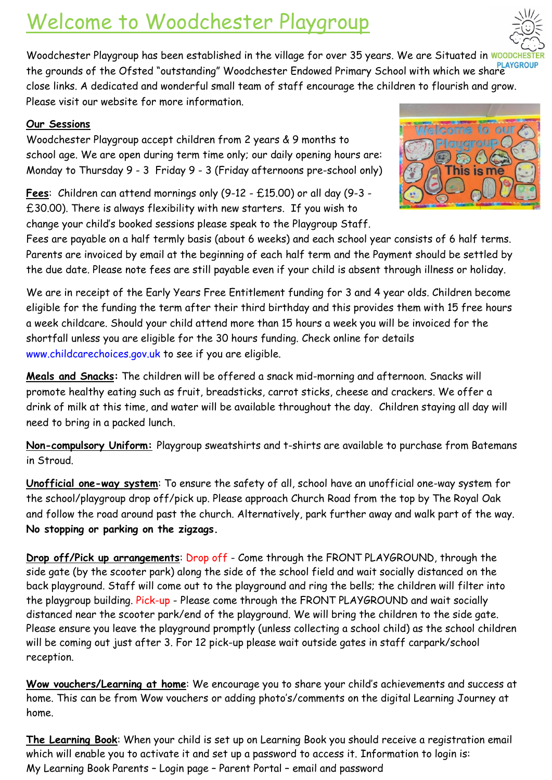# Welcome to Woodchester Playgroup



Woodchester Playgroup has been established in the village for over 35 years. We are Situated in WO the grounds of the Ofsted "outstanding" Woodchester Endowed Primary School with which we share close links. A dedicated and wonderful small team of staff encourage the children to flourish and grow. Please visit our website for more information.

### **Our Sessions**

Woodchester Playgroup accept children from 2 years & 9 months to school age. We are open during term time only; our daily opening hours are: Monday to Thursday 9 - 3 Friday 9 - 3 (Friday afternoons pre-school only)

**Fees**: Children can attend mornings only (9-12 - £15.00) or all day (9-3 - £30.00). There is always flexibility with new starters. If you wish to change your child's booked sessions please speak to the Playgroup Staff.



Fees are payable on a half termly basis (about 6 weeks) and each school year consists of 6 half terms. Parents are invoiced by email at the beginning of each half term and the Payment should be settled by the due date. Please note fees are still payable even if your child is absent through illness or holiday.

We are in receipt of the Early Years Free Entitlement funding for 3 and 4 year olds. Children become eligible for the funding the term after their third birthday and this provides them with 15 free hours a week childcare. Should your child attend more than 15 hours a week you will be invoiced for the shortfall unless you are eligible for the 30 hours funding. Check online for details [www.childcarechoices.gov.uk](http://www.childcarechoices.gov.uk/) to see if you are eligible.

**Meals and Snacks:** The children will be offered a snack mid-morning and afternoon. Snacks will promote healthy eating such as fruit, breadsticks, carrot sticks, cheese and crackers. We offer a drink of milk at this time, and water will be available throughout the day. Children staying all day will need to bring in a packed lunch.

**Non-compulsory Uniform:** Playgroup sweatshirts and t-shirts are available to purchase from Batemans in Stroud.

**Unofficial one-way system**: To ensure the safety of all, school have an unofficial one-way system for the school/playgroup drop off/pick up. Please approach Church Road from the top by The Royal Oak and follow the road around past the church. Alternatively, park further away and walk part of the way. **No stopping or parking on the zigzags.**

**Drop off/Pick up arrangements**: Drop off - Come through the FRONT PLAYGROUND, through the side gate (by the scooter park) along the side of the school field and wait socially distanced on the back playground. Staff will come out to the playground and ring the bells; the children will filter into the playgroup building. Pick-up - Please come through the FRONT PLAYGROUND and wait socially distanced near the scooter park/end of the playground. We will bring the children to the side gate. Please ensure you leave the playground promptly (unless collecting a school child) as the school children will be coming out just after 3. For 12 pick-up please wait outside gates in staff carpark/school reception.

**Wow vouchers/Learning at home**: We encourage you to share your child's achievements and success at home. This can be from Wow vouchers or adding photo's/comments on the digital Learning Journey at home.

**The Learning Book**: When your child is set up on Learning Book you should receive a registration email which will enable you to activate it and set up a password to access it. Information to login is: My Learning Book Parents – Login page – Parent Portal – email and password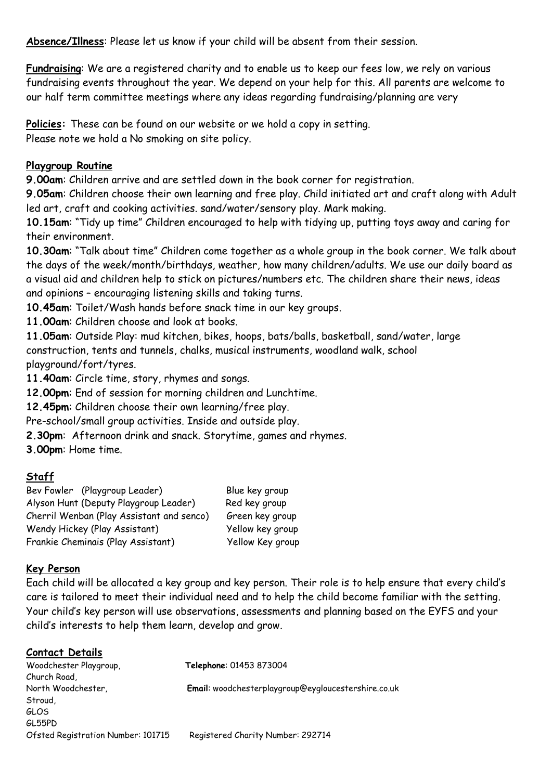**Absence/Illness**: Please let us know if your child will be absent from their session.

**Fundraising**: We are a registered charity and to enable us to keep our fees low, we rely on various fundraising events throughout the year. We depend on your help for this. All parents are welcome to our half term committee meetings where any ideas regarding fundraising/planning are very

**Policies:** These can be found on our website or we hold a copy in setting. Please note we hold a No smoking on site policy.

### **Playgroup Routine**

**9.00am**: Children arrive and are settled down in the book corner for registration.

**9.05am**: Children choose their own learning and free play. Child initiated art and craft along with Adult led art, craft and cooking activities. sand/water/sensory play. Mark making.

**10.15am**: "Tidy up time" Children encouraged to help with tidying up, putting toys away and caring for their environment.

**10.30am**: "Talk about time" Children come together as a whole group in the book corner. We talk about the days of the week/month/birthdays, weather, how many children/adults. We use our daily board as a visual aid and children help to stick on pictures/numbers etc. The children share their news, ideas and opinions – encouraging listening skills and taking turns.

**10.45am**: Toilet/Wash hands before snack time in our key groups.

**11.00am**: Children choose and look at books.

**11.05am**: Outside Play: mud kitchen, bikes, hoops, bats/balls, basketball, sand/water, large construction, tents and tunnels, chalks, musical instruments, woodland walk, school playground/fort/tyres.

**11.40am**: Circle time, story, rhymes and songs.

**12.00pm**: End of session for morning children and Lunchtime.

**12.45pm**: Children choose their own learning/free play.

Pre-school/small group activities. Inside and outside play.

**2.30pm**: Afternoon drink and snack. Storytime, games and rhymes.

**3.00pm**: Home time.

### **Staff**

Bev Fowler (Playgroup Leader) Blue key group Alyson Hunt (Deputy Playgroup Leader) Red key group Cherril Wenban (Play Assistant and senco) Green key group Wendy Hickey (Play Assistant) Yellow key group Frankie Cheminais (Play Assistant) Yellow Key group

### **Key Person**

Each child will be allocated a key group and key person. Their role is to help ensure that every child's care is tailored to meet their individual need and to help the child become familiar with the setting. Your child's key person will use observations, assessments and planning based on the EYFS and your child's interests to help them learn, develop and grow.

| Contact Details                    |                                                     |
|------------------------------------|-----------------------------------------------------|
| Woodchester Playgroup,             | Telephone: 01453 873004                             |
| Church Road,                       |                                                     |
| North Woodchester,                 | Email: woodchesterplaygroup@eygloucestershire.co.uk |
| Stroud,                            |                                                     |
| GLOS                               |                                                     |
| GL55PD                             |                                                     |
| Ofsted Registration Number: 101715 | Registered Charity Number: 292714                   |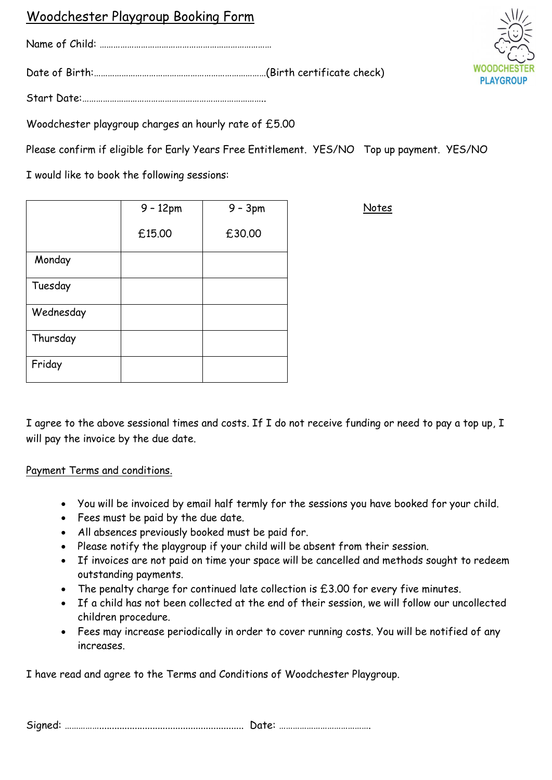### Woodchester Playgroup Booking Form

Name of Child: …………………………………………………………………

Date of Birth:…………………………………………………………………(Birth certificate check)

Start Date:……………………………………………………………………..

Woodchester playgroup charges an hourly rate of £5.00

Please confirm if eligible for Early Years Free Entitlement. YES/NO Top up payment. YES/NO

I would like to book the following sessions:

|           | $9 - 12pm$ | $9 - 3pm$ |
|-----------|------------|-----------|
|           | £15.00     | £30.00    |
| Monday    |            |           |
| Tuesday   |            |           |
| Wednesday |            |           |
| Thursday  |            |           |
| Friday    |            |           |

I agree to the above sessional times and costs. If I do not receive funding or need to pay a top up, I will pay the invoice by the due date.

Payment Terms and conditions.

- You will be invoiced by email half termly for the sessions you have booked for your child.
- Fees must be paid by the due date.
- All absences previously booked must be paid for.
- Please notify the playgroup if your child will be absent from their session.
- If invoices are not paid on time your space will be cancelled and methods sought to redeem outstanding payments.
- The penalty charge for continued late collection is £3.00 for every five minutes.
- If a child has not been collected at the end of their session, we will follow our uncollected children procedure.
- Fees may increase periodically in order to cover running costs. You will be notified of any increases.

I have read and agree to the Terms and Conditions of Woodchester Playgroup.

Signed: ……………......................................................... Date: ………………………………….



Notes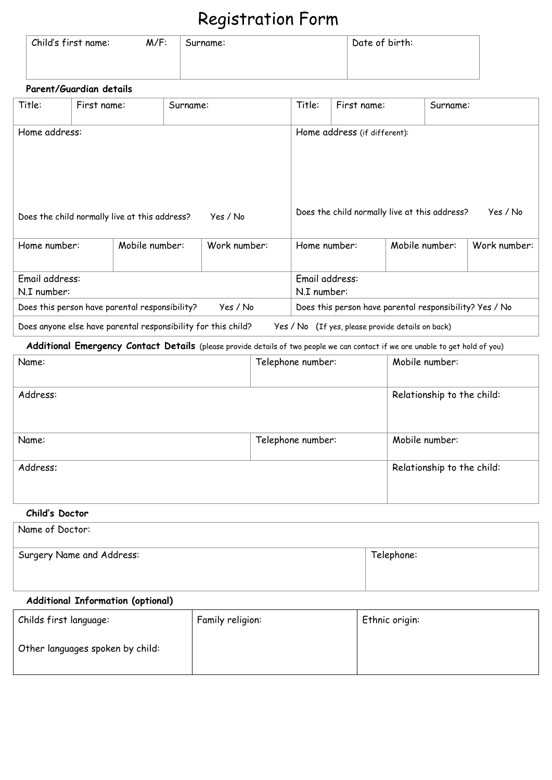## Registration Form

| Child's first name: | $M/F$ : | Surname: | Date of birth: |
|---------------------|---------|----------|----------------|
|                     |         |          |                |

### **Parent/Guardian details**

| Title:                                                                                                                         | First name: |                | Surname:     |                                     |                                                           | Title:                                                  | First name:                |                            | Surname: |              |
|--------------------------------------------------------------------------------------------------------------------------------|-------------|----------------|--------------|-------------------------------------|-----------------------------------------------------------|---------------------------------------------------------|----------------------------|----------------------------|----------|--------------|
| Home address:                                                                                                                  |             |                |              |                                     |                                                           | Home address (if different):                            |                            |                            |          |              |
| Yes / No<br>Does the child normally live at this address?                                                                      |             |                |              |                                     | Does the child normally live at this address?<br>Yes / No |                                                         |                            |                            |          |              |
| Home number:                                                                                                                   |             | Mobile number: | Work number: |                                     |                                                           | Home number:                                            |                            | Mobile number:             |          | Work number: |
| Email address:<br>N.I number:                                                                                                  |             |                |              |                                     |                                                           | Email address:<br>N.I number:                           |                            |                            |          |              |
| Does this person have parental responsibility?                                                                                 |             |                |              | Yes / No                            |                                                           | Does this person have parental responsibility? Yes / No |                            |                            |          |              |
| Does anyone else have parental responsibility for this child?                                                                  |             |                |              |                                     |                                                           | Yes / No (If yes, please provide details on back)       |                            |                            |          |              |
| Additional Emergency Contact Details (please provide details of two people we can contact if we are unable to get hold of you) |             |                |              |                                     |                                                           |                                                         |                            |                            |          |              |
| Name:                                                                                                                          |             |                |              | Mobile number:<br>Telephone number: |                                                           |                                                         |                            |                            |          |              |
| Address:                                                                                                                       |             |                |              |                                     |                                                           |                                                         | Relationship to the child: |                            |          |              |
| Name:                                                                                                                          |             |                |              |                                     |                                                           | Mobile number:<br>Telephone number:                     |                            |                            |          |              |
| Address:                                                                                                                       |             |                |              |                                     |                                                           |                                                         |                            | Relationship to the child: |          |              |

### **Child's Doctor**

| Name of Doctor:           |            |
|---------------------------|------------|
| Surgery Name and Address: | Telephone: |

### **Additional Information (optional)**

| Childs first language:           | Family religion: | Ethnic origin: |
|----------------------------------|------------------|----------------|
| Other languages spoken by child: |                  |                |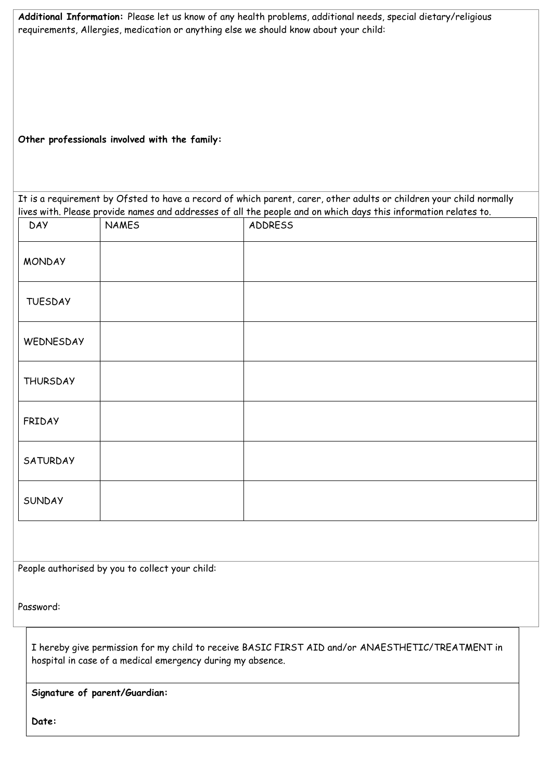|  | Additional Information: Please let us know of any health problems, additional needs, special dietary/religious |  |
|--|----------------------------------------------------------------------------------------------------------------|--|
|  | requirements, Allergies, medication or anything else we should know about your child:                          |  |

**Other professionals involved with the family:**

It is a requirement by Ofsted to have a record of which parent, carer, other adults or children your child normally lives with. Please provide names and addresses of all the people and on which days this information relates to.

| <b>DAY</b>      | <b>NAMES</b> | ADDRESS |
|-----------------|--------------|---------|
| <b>MONDAY</b>   |              |         |
| <b>TUESDAY</b>  |              |         |
| WEDNESDAY       |              |         |
| <b>THURSDAY</b> |              |         |
| FRIDAY          |              |         |
| SATURDAY        |              |         |
| SUNDAY          |              |         |

People authorised by you to collect your child:

Password:

I hereby give permission for my child to receive BASIC FIRST AID and/or ANAESTHETIC/TREATMENT in hospital in case of a medical emergency during my absence.

**Signature of parent/Guardian:**

**Date:**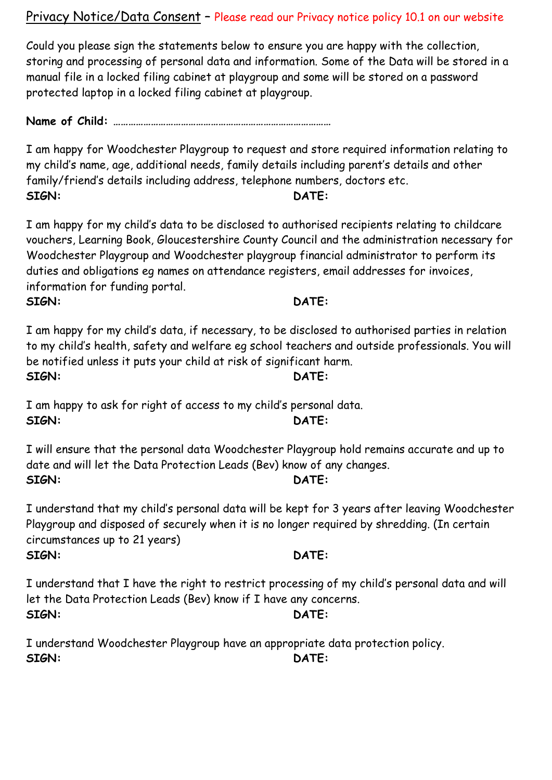Privacy Notice/Data Consent – Please read our Privacy notice policy 10.1 on our website

Could you please sign the statements below to ensure you are happy with the collection, storing and processing of personal data and information. Some of the Data will be stored in a manual file in a locked filing cabinet at playgroup and some will be stored on a password protected laptop in a locked filing cabinet at playgroup.

**Name of Child: ……………………………………………………………………………**

I am happy for Woodchester Playgroup to request and store required information relating to my child's name, age, additional needs, family details including parent's details and other family/friend's details including address, telephone numbers, doctors etc. **SIGN: DATE:**

I am happy for my child's data to be disclosed to authorised recipients relating to childcare vouchers, Learning Book, Gloucestershire County Council and the administration necessary for Woodchester Playgroup and Woodchester playgroup financial administrator to perform its duties and obligations eg names on attendance registers, email addresses for invoices, information for funding portal. **SIGN: DATE:**

I am happy for my child's data, if necessary, to be disclosed to authorised parties in relation to my child's health, safety and welfare eg school teachers and outside professionals. You will be notified unless it puts your child at risk of significant harm. **SIGN: DATE:**

I am happy to ask for right of access to my child's personal data. **SIGN: DATE:**

I will ensure that the personal data Woodchester Playgroup hold remains accurate and up to date and will let the Data Protection Leads (Bev) know of any changes. **SIGN: DATE:**

I understand that my child's personal data will be kept for 3 years after leaving Woodchester Playgroup and disposed of securely when it is no longer required by shredding. (In certain circumstances up to 21 years) **SIGN: DATE:**

I understand that I have the right to restrict processing of my child's personal data and will let the Data Protection Leads (Bev) know if I have any concerns. **SIGN: DATE:**

I understand Woodchester Playgroup have an appropriate data protection policy. **SIGN: DATE:**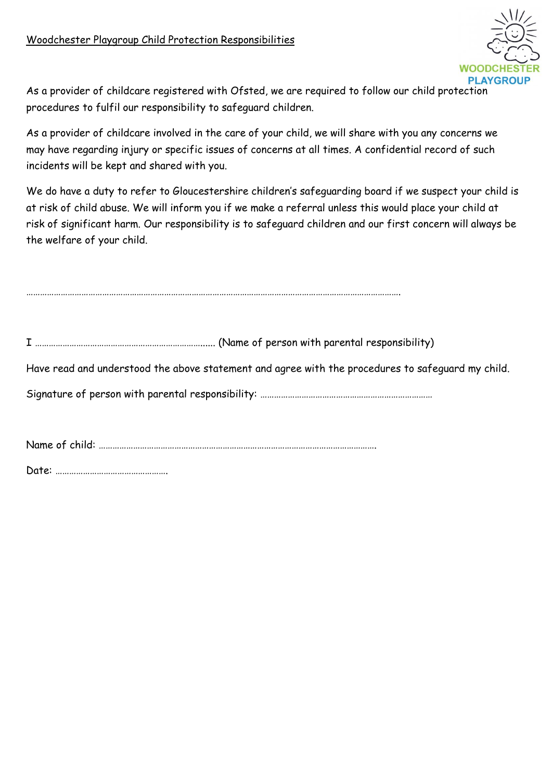

As a provider of childcare registered with Ofsted, we are required to follow our child protection procedures to fulfil our responsibility to safeguard children.

As a provider of childcare involved in the care of your child, we will share with you any concerns we may have regarding injury or specific issues of concerns at all times. A confidential record of such incidents will be kept and shared with you.

We do have a duty to refer to Gloucestershire children's safeguarding board if we suspect your child is at risk of child abuse. We will inform you if we make a referral unless this would place your child at risk of significant harm. Our responsibility is to safeguard children and our first concern will always be the welfare of your child.

I ………………………………………………………………...... (Name of person with parental responsibility)

……………………………………………………………………………………………………………………………………………….

Have read and understood the above statement and agree with the procedures to safeguard my child.

Signature of person with parental responsibility: ………………………………………………………………………………

Name of child: ………………………………………………………………………………………………………….

Date: ………………………………………….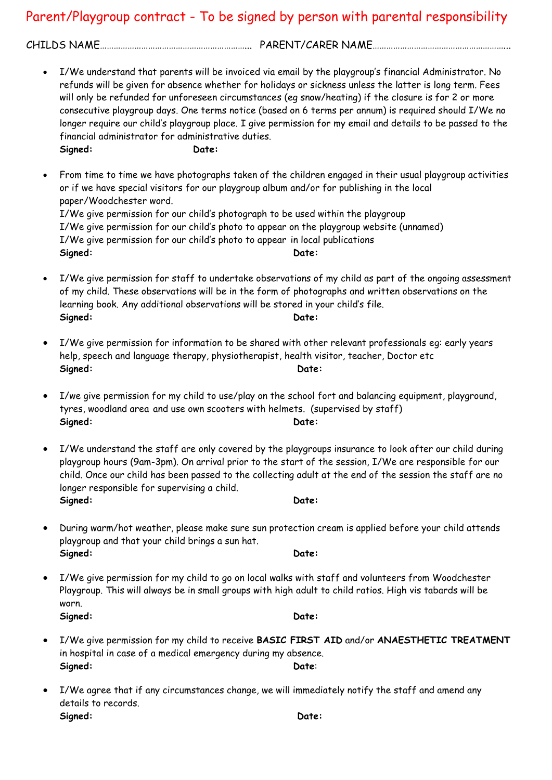### Parent/Playgroup contract - To be signed by person with parental responsibility

CHILDS NAME………………………………………………………... PARENT/CARER NAME…………………………………………………...

• I/We understand that parents will be invoiced via email by the playgroup's financial Administrator. No refunds will be given for absence whether for holidays or sickness unless the latter is long term. Fees will only be refunded for unforeseen circumstances (eg snow/heating) if the closure is for 2 or more consecutive playgroup days. One terms notice (based on 6 terms per annum) is required should I/We no longer require our child's playgroup place. I give permission for my email and details to be passed to the financial administrator for administrative duties. **Signed: Date:** 

• From time to time we have photographs taken of the children engaged in their usual playgroup activities or if we have special visitors for our playgroup album and/or for publishing in the local paper/Woodchester word. I/We give permission for our child's photograph to be used within the playgroup I/We give permission for our child's photo to appear on the playgroup website (unnamed) I/We give permission for our child's photo to appear in local publications **Signed: Date:** 

- I/We give permission for staff to undertake observations of my child as part of the ongoing assessment of my child. These observations will be in the form of photographs and written observations on the learning book. Any additional observations will be stored in your child's file. Signed: **Date: Date: Date:**
- I/We give permission for information to be shared with other relevant professionals eg: early years help, speech and language therapy, physiotherapist, health visitor, teacher, Doctor etc **Signed: Date:**
- I/we give permission for my child to use/play on the school fort and balancing equipment, playground, tyres, woodland area and use own scooters with helmets. (supervised by staff) **Signed: Date:**
- I/We understand the staff are only covered by the playgroups insurance to look after our child during playgroup hours (9am-3pm). On arrival prior to the start of the session, I/We are responsible for our child. Once our child has been passed to the collecting adult at the end of the session the staff are no longer responsible for supervising a child. **Signed: Date:**
- During warm/hot weather, please make sure sun protection cream is applied before your child attends playgroup and that your child brings a sun hat. **Signed: Date:**
- I/We give permission for my child to go on local walks with staff and volunteers from Woodchester Playgroup. This will always be in small groups with high adult to child ratios. High vis tabards will be worn. **Signed: Date:**
- I/We give permission for my child to receive **BASIC FIRST AID** and/or **ANAESTHETIC TREATMENT** in hospital in case of a medical emergency during my absence. **Signed: Date**:
- I/We agree that if any circumstances change, we will immediately notify the staff and amend any details to records. **Signed: Date:**